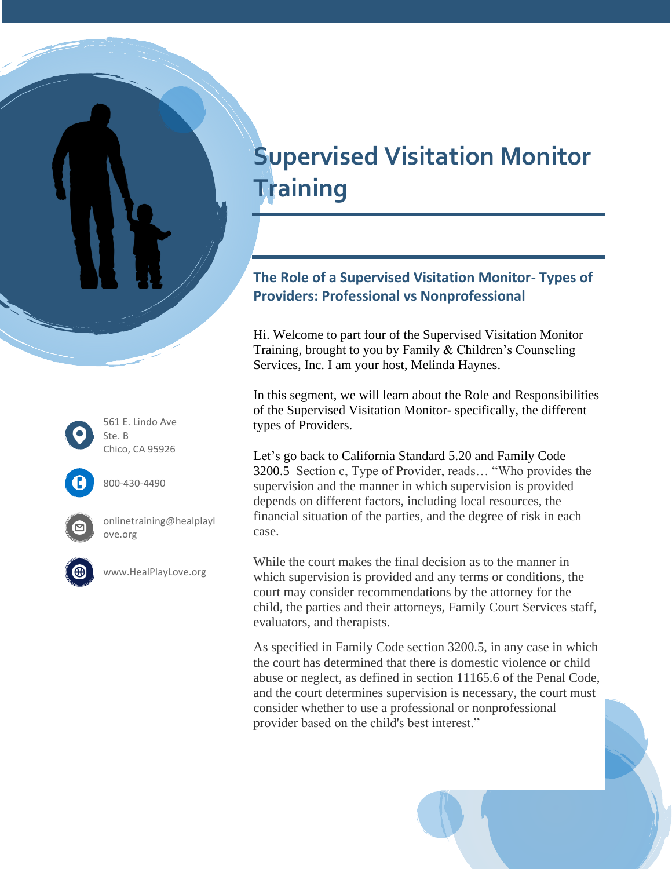# **Supervised Visitation Monitor Training**

# **The Role of a Supervised Visitation Monitor- Types of Providers: Professional vs Nonprofessional**

Hi. Welcome to part four of the Supervised Visitation Monitor Training, brought to you by Family & Children's Counseling Services, Inc. I am your host, Melinda Haynes.

In this segment, we will learn about the Role and Responsibilities of the Supervised Visitation Monitor- specifically, the different types of Providers.

Let's go back to California Standard 5.20 and Family Code 3200.5 Section c, Type of Provider, reads… "Who provides the supervision and the manner in which supervision is provided depends on different factors, including local resources, the financial situation of the parties, and the degree of risk in each case.

While the court makes the final decision as to the manner in which supervision is provided and any terms or conditions, the court may consider recommendations by the attorney for the child, the parties and their attorneys, Family Court Services staff, evaluators, and therapists.

As specified in Family Code section 3200.5, in any case in which the court has determined that there is domestic violence or child abuse or neglect, as defined in section 11165.6 of the Penal Code, and the court determines supervision is necessary, the court must consider whether to use a professional or nonprofessional provider based on the child's best interest."

561 E. Lindo Ave Ste. B Chico, CA 95926



800-430-4490



onlinetraining@healplayl ove.org



www.HealPlayLove.org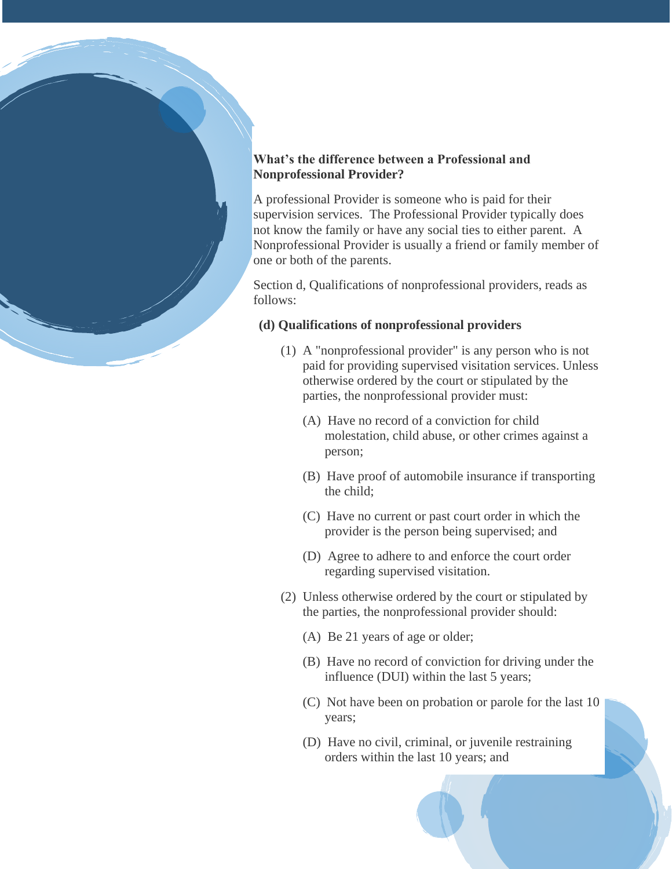## **What's the difference between a Professional and Nonprofessional Provider?**

A professional Provider is someone who is paid for their supervision services. The Professional Provider typically does not know the family or have any social ties to either parent. A Nonprofessional Provider is usually a friend or family member of one or both of the parents.

Section d, Qualifications of nonprofessional providers, reads as follows:

#### **(d) Qualifications of nonprofessional providers**

- (1) A "nonprofessional provider" is any person who is not paid for providing supervised visitation services. Unless otherwise ordered by the court or stipulated by the parties, the nonprofessional provider must:
	- (A) Have no record of a conviction for child molestation, child abuse, or other crimes against a person;
	- (B) Have proof of automobile insurance if transporting the child;
	- (C) Have no current or past court order in which the provider is the person being supervised; and
	- (D) Agree to adhere to and enforce the court order regarding supervised visitation.
- (2) Unless otherwise ordered by the court or stipulated by the parties, the nonprofessional provider should:
	- (A) Be 21 years of age or older;
	- (B) Have no record of conviction for driving under the influence (DUI) within the last 5 years;
	- (C) Not have been on probation or parole for the last 10 years;
	- (D) Have no civil, criminal, or juvenile restraining orders within the last 10 years; and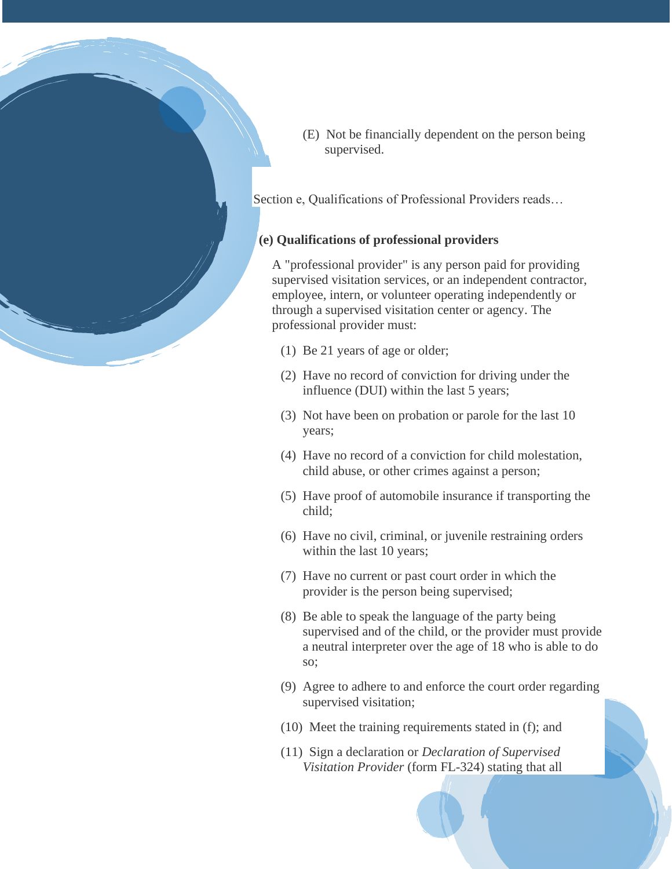

(E) Not be financially dependent on the person being supervised.

Section e, Qualifications of Professional Providers reads…

### **(e) Qualifications of professional providers**

A "professional provider" is any person paid for providing supervised visitation services, or an independent contractor, employee, intern, or volunteer operating independently or through a supervised visitation center or agency. The professional provider must:

- (1) Be 21 years of age or older;
- (2) Have no record of conviction for driving under the influence (DUI) within the last 5 years;
- (3) Not have been on probation or parole for the last 10 years;
- (4) Have no record of a conviction for child molestation, child abuse, or other crimes against a person;
- (5) Have proof of automobile insurance if transporting the child;
- (6) Have no civil, criminal, or juvenile restraining orders within the last 10 years;
- (7) Have no current or past court order in which the provider is the person being supervised;
- (8) Be able to speak the language of the party being supervised and of the child, or the provider must provide a neutral interpreter over the age of 18 who is able to do so;
- (9) Agree to adhere to and enforce the court order regarding supervised visitation;
- (10) Meet the training requirements stated in (f); and
- (11) Sign a declaration or *Declaration of Supervised Visitation Provider* (form FL-324) stating that all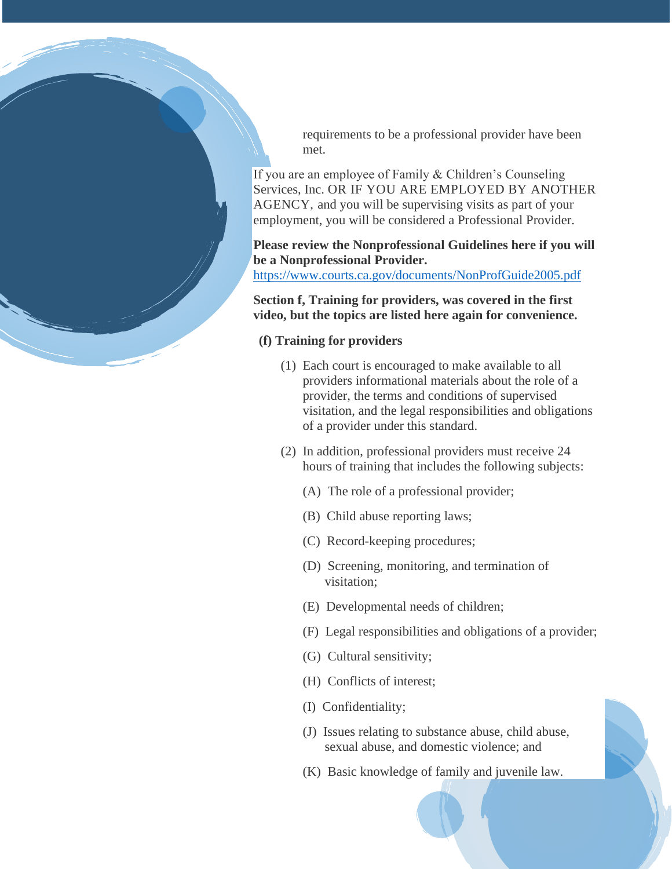requirements to be a professional provider have been met.

If you are an employee of Family & Children's Counseling Services, Inc. OR IF YOU ARE EMPLOYED BY ANOTHER AGENCY, and you will be supervising visits as part of your employment, you will be considered a Professional Provider.

**Please review the Nonprofessional Guidelines here if you will be a Nonprofessional Provider.** 

<https://www.courts.ca.gov/documents/NonProfGuide2005.pdf>

**Section f, Training for providers, was covered in the first video, but the topics are listed here again for convenience.**

#### **(f) Training for providers**

- (1) Each court is encouraged to make available to all providers informational materials about the role of a provider, the terms and conditions of supervised visitation, and the legal responsibilities and obligations of a provider under this standard.
- (2) In addition, professional providers must receive 24 hours of training that includes the following subjects:
	- (A) The role of a professional provider;
	- (B) Child abuse reporting laws;
	- (C) Record-keeping procedures;
	- (D) Screening, monitoring, and termination of visitation;
	- (E) Developmental needs of children;
	- (F) Legal responsibilities and obligations of a provider;
	- (G) Cultural sensitivity;
	- (H) Conflicts of interest;
	- (I) Confidentiality;
	- (J) Issues relating to substance abuse, child abuse, sexual abuse, and domestic violence; and
	- (K) Basic knowledge of family and juvenile law.